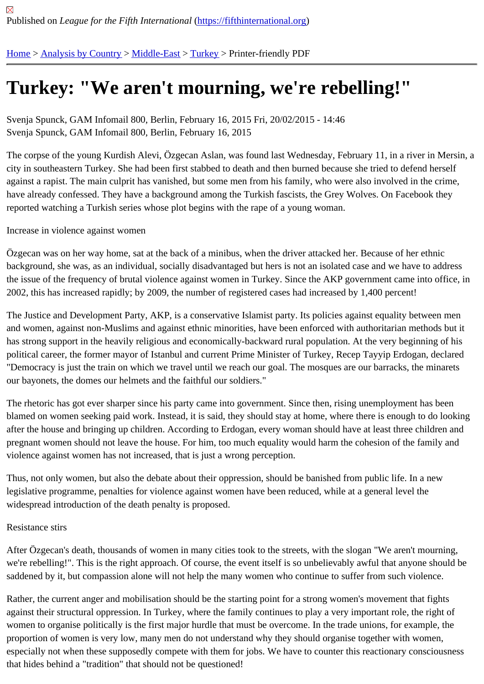## [Tur](https://fifthinternational.org/)[key: "We a](https://fifthinternational.org/category/1)[ren](https://fifthinternational.org/category/1/178)'[t m](https://fifthinternational.org/category/1/178)[ourn](https://fifthinternational.org/category/1/178/174)ing, we're rebelling!"

Svenja Spunck, GAM Infomail 800, Berlin, February 16, 2015 Fri, 20/02/2015 - 14:46 Svenja Spunck, GAM Infomail 800, Berlin, February 16, 2015

The corpse of the young Kurdish Alevi, Ozgecan Aslan, was found last Wednesday, February 11, in a river in Mers city in southeastern Turkey. She had been first stabbed to death and then burned because she tried to defend her against a rapist. The main culprit has vanished, but some men from his family, who were also involved in the crime, have already confessed. They have a background among the Turkish fascists, the Grey Wolves. On Facebook the reported watching a Turkish series whose plot begins with the rape of a young woman.

Increase in violence against women

Özgecan was on her way home, sat at the back of a minibus, when the driver attacked her. Because of her ethnic background, she was, as an individual, socially disadvantaged but hers is not an isolated case and we have to add the issue of the frequency of brutal violence against women in Turkey. Since the AKP government came into office 2002, this has increased rapidly; by 2009, the number of registered cases had increased by 1,400 percent!

The Justice and Development Party, AKP, is a conservative Islamist party. Its policies against equality between me and women, against non-Muslims and against ethnic minorities, have been enforced with authoritarian methods bu has strong support in the heavily religious and economically-backward rural population. At the very beginning of hi political career, the former mayor of Istanbul and current Prime Minister of Turkey, Recep Tayyip Erdogan, declare "Democracy is just the train on which we travel until we reach our goal. The mosques are our barracks, the minare our bayonets, the domes our helmets and the faithful our soldiers."

The rhetoric has got ever sharper since his party came into government. Since then, rising unemployment has bee blamed on women seeking paid work. Instead, it is said, they should stay at home, where there is enough to do loo after the house and bringing up children. According to Erdogan, every woman should have at least three children a pregnant women should not leave the house. For him, too much equality would harm the cohesion of the family ar violence against women has not increased, that is just a wrong perception.

Thus, not only women, but also the debate about their oppression, should be banished from public life. In a new legislative programme, penalties for violence against women have been reduced, while at a general level the widespread introduction of the death penalty is proposed.

## Resistance stirs

After Özgecan's death, thousands of women in many cities took to the streets, with the slogan "We aren't mourning we're rebelling!". This is the right approach. Of course, the event itself is so unbelievably awful that anyone should saddened by it, but compassion alone will not help the many women who continue to suffer from such violence.

Rather, the current anger and mobilisation should be the starting point for a strong women's movement that fights against their structural oppression. In Turkey, where the family continues to play a very important role, the right of women to organise politically is the first major hurdle that must be overcome. In the trade unions, for example, the proportion of women is very low, many men do not understand why they should organise together with women, especially not when these supposedly compete with them for jobs. We have to counter this reactionary consciousr that hides behind a "tradition" that should not be questioned!